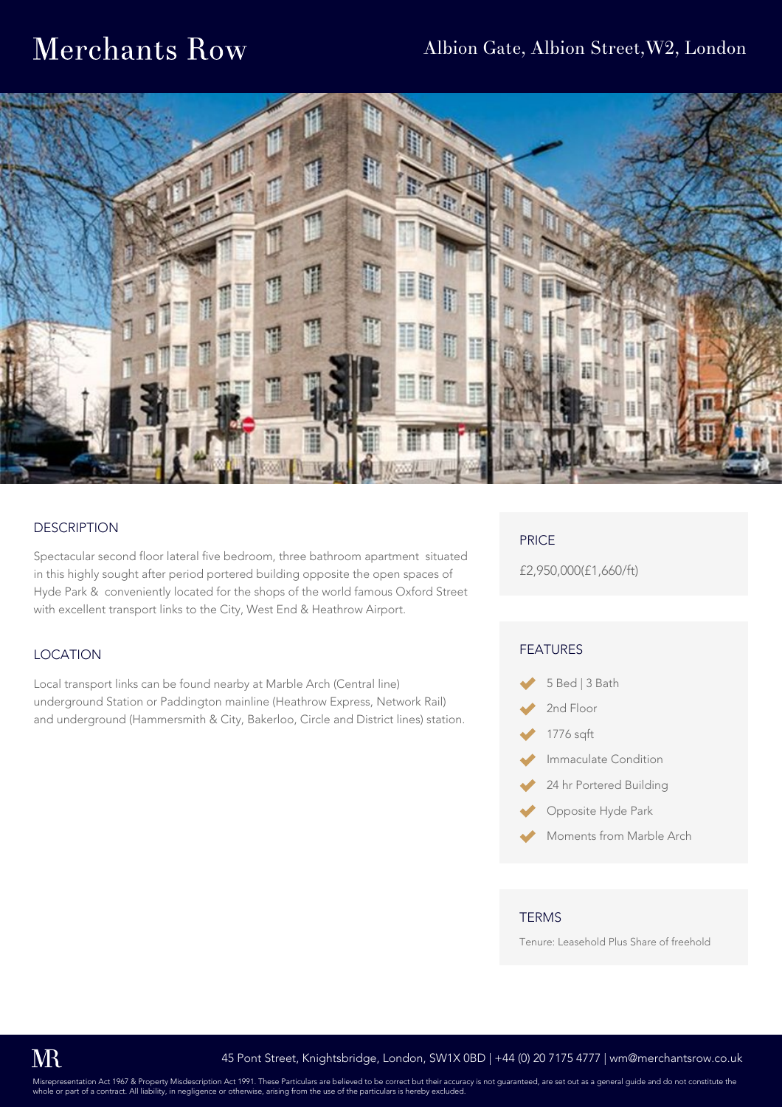## Merchants Row



#### **DESCRIPTION**

Spectacular second floor lateral five bedroom, three bathroom apartment situated in this highly sought after period portered building opposite the open spaces of Hyde Park & conveniently located for the shops of the world famous Oxford Street with excellent transport links to the City, West End & Heathrow Airport.

#### LOCATION

Local transport links can be found nearby at Marble Arch (Central line) underground Station or Paddington mainline (Heathrow Express, Network Rail) and underground (Hammersmith & City, Bakerloo, Circle and District lines) station.

#### PRICE

£2,950,000(£1,660/ft)

#### FEATURES

- 5 Bed | 3 Bath
- 2nd Floor
- 1776 sqft
- Immaculate Condition
- 24 hr Portered Building
- Opposite Hyde Park
- Moments from Marble Arch

#### **TERMS**

Tenure: Leasehold Plus Share of freehold

Misrepresentation Act 1967 & Property Misdescription Act 1991. These Particulars are believed to be correct but their accuracy is not guaranteed, are set out as a general guide and do not constitute the<br>whole or part of a or part of a contract. All liability, in negligence or other